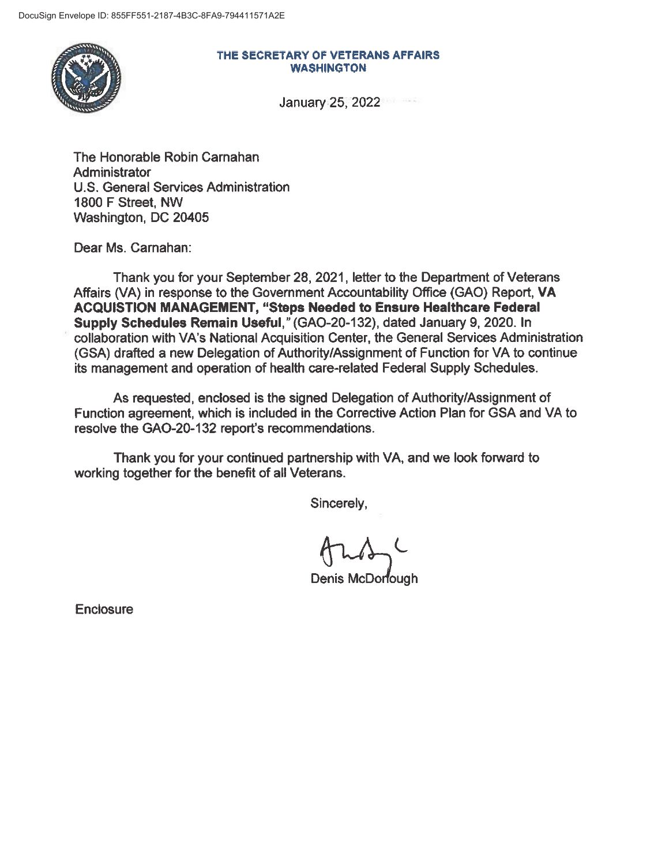

#### THE **SECRETARY** OF **VETERANS AFFAIRS WASHINGTON**

January 25, 2022

The Honorable Robin Carnahan Administrator U.S. General Services Administration 1800 F Street, NW Washington, DC 20405

Dear Ms. Carnahan:

Thank you for your September 28, 2021, letter to the Department of Veterans Affairs (VA) in response to the Government Accountability Office (GAO) Report, VA **ACQUISTION MANAGEMENT, "Steps Needed to Ensure Healthcare Federal Supply Schedules Remain Useful,"** (GAO-20-132), dated January 9, 2020. In collaboration with VA's National Acquisition Center, the General Services Administration (GSA) drafted a new Delegation of Authority/Assignment of Function for VA to continue its management and operation of health care-related Federal Supply Schedules.

As requested, enclosed is the signed Delegation of Authority/Assignment of Function agreement, which is included in the Corrective Action Plan for GSA and VA to resolve the GAO-20-132 report's recommendations.

Thank you for your continued partnership with VA, and we look forward to working together for the benefit of all Veterans.

Sincerely,

Denis McDorfough

**Enclosure**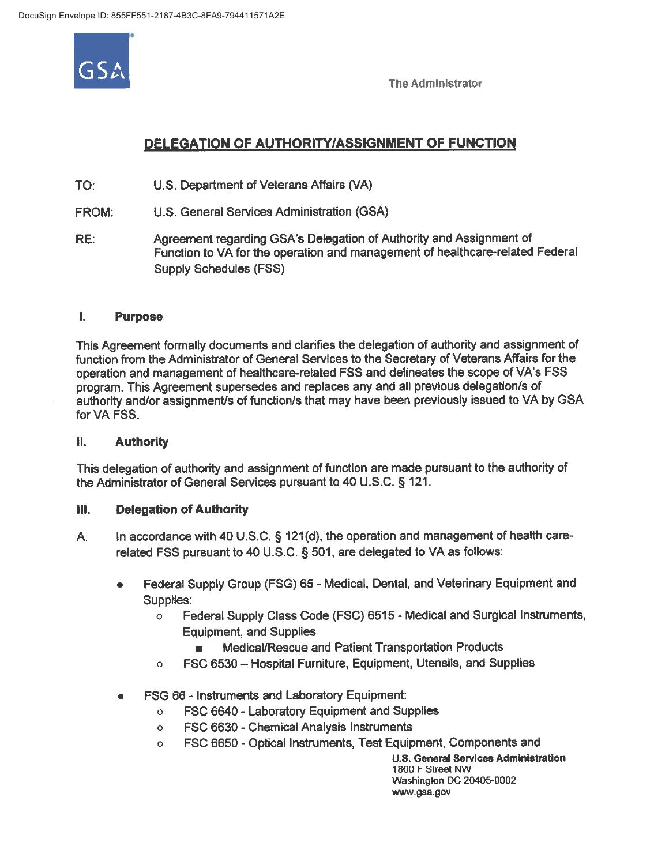

The Administrator

# **DELEGATION OF AUTHORITY/ASSIGNMENT OF FUNCTION**

TO: U.S. Department of Veterans Affairs (VA)

- FROM: U.S. General Services Administration (GSA)
- RE: Agreement regarding GSA's Delegation of Authority and Assignment of Function to VA for the operation and management of healthcare-related Federal Supply Schedules (FSS)

### I. **Purpose**

This Agreement formally documents and clarifies the delegation of authority and assignment of function from the Administrator of General Services to the Secretary of Veterans Affairs for the operation and management of healthcare-related FSS and delineates the scope of VA's FSS program. This Agreement supersedes and replaces any and all previous delegation/s of authority and/or assignment/s of function/s that may have been previously issued to VA by GSA for VA FSS.

## II. **Authority**

This delegation of authority and assignment of function are made pursuant to the authority of the Administrator of General Services pursuant to 40 U.S.C. § 121.

## Ill. **Delegation of Authority**

- A. In accordance with 40 U.S.C. § 121(d), the operation and management of health carerelated FSS pursuant to 40 U.S.C. § 501, are delegated to VA as follows:
	- Federal Supply Group (FSG) 65 Medical, Dental, and Veterinary Equipment and Supplies:
		- o Federal Supply Class Code (FSC) 6515 Medical and Surgical Instruments, Equipment, and Supplies
			- Medical/Rescue and Patient Transportation Products
		- $\circ$  FSC 6530 Hospital Furniture, Equipment, Utensils, and Supplies
	- FSG 66 Instruments and Laboratory Equipment:
		- o FSC 6640 Laboratory Equipment and Supplies
		- o FSC 6630 Chemical Analysis Instruments
		- o FSC 6650 Optical Instruments, Test Equipment, Components and

**U.S. General Services Administration**  1800 F Street NW Washington DC 20405-0002 www.gsa.gov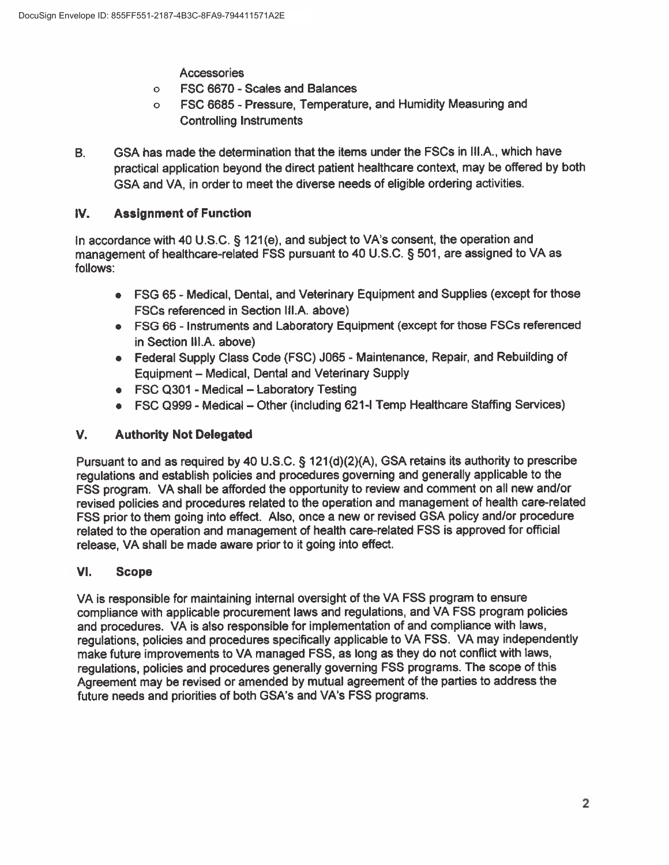**Accessories** 

- o FSC 6670 Scales and Balances
- o FSC 6685 Pressure, Temperature, and Humidity Measuring and Controlling Instruments
- B. GSA has made the determination that the items under the FSCs in Ill.A., which have practical application beyond the direct patient healthcare context, may be offered by both GSA and VA, in order to meet the diverse needs of eligible ordering activities.

## **IV. Assignment of Function**

In accordance with 40 U.S.C. § 121(e), and subject to VA's consent, the operation and management of healthcare-related FSS pursuant to 40 U.S.C. § 501, are assigned to VA as follows:

- FSG 65 Medical, Dental, and Veterinary Equipment and Supplies (except for those FSCs referenced in Section Ill.A. above)
- FSG 66 Instruments and Laboratory Equipment (except for those FSCs referenced in Section Ill.A. above)
- Federal Supply Class Code (FSC) J065 Maintenance, Repair, and Rebuilding of Equipment - Medical, Dental and Veterinary Supply
- FSC Q301 Medical Laboratory Testing
- FSC Q999 Medical Other (including 621-I Temp Healthcare Staffing Services)

## **V. Authority Not Delegated**

Pursuant to and as required by 40 U.S.C. § 121(d)(2)(A), GSA retains its authority to prescribe regulations and establish policies and procedures governing and generally applicable to the FSS program. VA shall be afforded the opportunity to review and comment on all new and/or revised policies and procedures related to the operation and management of health care-related FSS prior to them going into effect. Also, once a new or revised GSA policy and/or procedure related to the operation and management of health care-related FSS is approved for official release, VA shall be made aware prior to it going into effect.

## **VI. Scope**

VA is responsible for maintaining internal oversight of the VA FSS program to ensure compliance with applicable procurement laws and regulations, and VA FSS program policies and procedures. VA is also responsible for implementation of and compliance with laws, regulations, policies and procedures specifically applicable to VA FSS. VA may independently make future improvements to VA managed FSS, as long as they do not conflict with laws, regulations, policies and procedures generally governing FSS programs. The scope of this Agreement may be revised or amended by mutual agreement of the parties to address the future needs and priorities of both GSA's and VA's FSS programs.